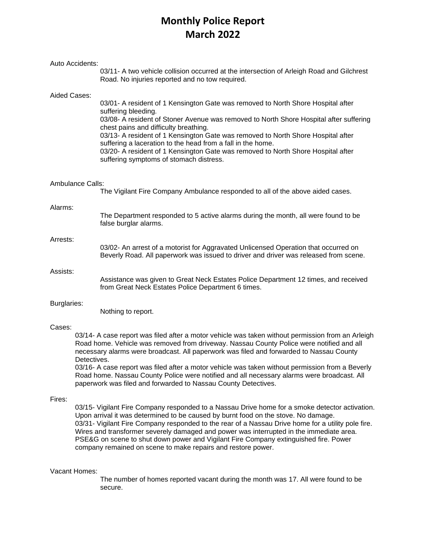# **Monthly Police Report March 2022**

|                                                                                                    | Auto Accidents:                                                                                                                                                                                                                                                                                                                                                                                                                                                                                                                                                             | 03/11- A two vehicle collision occurred at the intersection of Arleigh Road and Gilchrest<br>Road. No injuries reported and no tow required.                                                                                                                                                                                                                                                                                                                                                                                 |  |  |  |
|----------------------------------------------------------------------------------------------------|-----------------------------------------------------------------------------------------------------------------------------------------------------------------------------------------------------------------------------------------------------------------------------------------------------------------------------------------------------------------------------------------------------------------------------------------------------------------------------------------------------------------------------------------------------------------------------|------------------------------------------------------------------------------------------------------------------------------------------------------------------------------------------------------------------------------------------------------------------------------------------------------------------------------------------------------------------------------------------------------------------------------------------------------------------------------------------------------------------------------|--|--|--|
| Aided Cases:                                                                                       |                                                                                                                                                                                                                                                                                                                                                                                                                                                                                                                                                                             | 03/01- A resident of 1 Kensington Gate was removed to North Shore Hospital after<br>suffering bleeding.<br>03/08- A resident of Stoner Avenue was removed to North Shore Hospital after suffering<br>chest pains and difficulty breathing.<br>03/13- A resident of 1 Kensington Gate was removed to North Shore Hospital after<br>suffering a laceration to the head from a fall in the home.<br>03/20- A resident of 1 Kensington Gate was removed to North Shore Hospital after<br>suffering symptoms of stomach distress. |  |  |  |
| Ambulance Calls:<br>The Vigilant Fire Company Ambulance responded to all of the above aided cases. |                                                                                                                                                                                                                                                                                                                                                                                                                                                                                                                                                                             |                                                                                                                                                                                                                                                                                                                                                                                                                                                                                                                              |  |  |  |
| Alarms:                                                                                            |                                                                                                                                                                                                                                                                                                                                                                                                                                                                                                                                                                             | The Department responded to 5 active alarms during the month, all were found to be<br>false burglar alarms.                                                                                                                                                                                                                                                                                                                                                                                                                  |  |  |  |
| Arrests:                                                                                           |                                                                                                                                                                                                                                                                                                                                                                                                                                                                                                                                                                             | 03/02- An arrest of a motorist for Aggravated Unlicensed Operation that occurred on<br>Beverly Road. All paperwork was issued to driver and driver was released from scene.                                                                                                                                                                                                                                                                                                                                                  |  |  |  |
| Assists:                                                                                           |                                                                                                                                                                                                                                                                                                                                                                                                                                                                                                                                                                             | Assistance was given to Great Neck Estates Police Department 12 times, and received<br>from Great Neck Estates Police Department 6 times.                                                                                                                                                                                                                                                                                                                                                                                    |  |  |  |
| Burglaries:                                                                                        |                                                                                                                                                                                                                                                                                                                                                                                                                                                                                                                                                                             | Nothing to report.                                                                                                                                                                                                                                                                                                                                                                                                                                                                                                           |  |  |  |
| Cases:                                                                                             | 03/14- A case report was filed after a motor vehicle was taken without permission from an Arleigh<br>Road home. Vehicle was removed from driveway. Nassau County Police were notified and all<br>necessary alarms were broadcast. All paperwork was filed and forwarded to Nassau County<br>Detectives.<br>03/16- A case report was filed after a motor vehicle was taken without permission from a Beverly<br>Road home. Nassau County Police were notified and all necessary alarms were broadcast. All<br>paperwork was filed and forwarded to Nassau County Detectives. |                                                                                                                                                                                                                                                                                                                                                                                                                                                                                                                              |  |  |  |
| Fires:                                                                                             | 03/15- Vigilant Fire Company responded to a Nassau Drive home for a smoke detector activation.<br>Upon arrival it was determined to be caused by burnt food on the stove. No damage.<br>03/31- Vigilant Fire Company responded to the rear of a Nassau Drive home for a utility pole fire.<br>Wires and transformer severely damaged and power was interrupted in the immediate area.<br>PSE&G on scene to shut down power and Vigilant Fire Company extinguished fire. Power<br>company remained on scene to make repairs and restore power.                               |                                                                                                                                                                                                                                                                                                                                                                                                                                                                                                                              |  |  |  |

### Vacant Homes:

The number of homes reported vacant during the month was 17. All were found to be secure.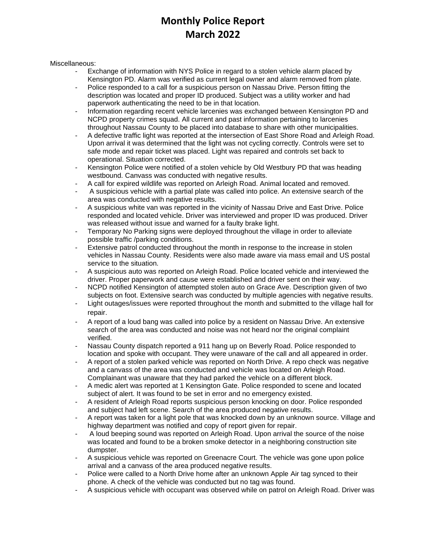# **Monthly Police Report March 2022**

Miscellaneous:

- Exchange of information with NYS Police in regard to a stolen vehicle alarm placed by Kensington PD. Alarm was verified as current legal owner and alarm removed from plate.
- Police responded to a call for a suspicious person on Nassau Drive. Person fitting the description was located and proper ID produced. Subject was a utility worker and had paperwork authenticating the need to be in that location.
- Information regarding recent vehicle larcenies was exchanged between Kensington PD and NCPD property crimes squad. All current and past information pertaining to larcenies throughout Nassau County to be placed into database to share with other municipalities.
- A defective traffic light was reported at the intersection of East Shore Road and Arleigh Road. Upon arrival it was determined that the light was not cycling correctly. Controls were set to safe mode and repair ticket was placed. Light was repaired and controls set back to operational. Situation corrected.
- Kensington Police were notified of a stolen vehicle by Old Westbury PD that was heading westbound. Canvass was conducted with negative results.
- A call for expired wildlife was reported on Arleigh Road. Animal located and removed.
- A suspicious vehicle with a partial plate was called into police. An extensive search of the area was conducted with negative results.
- A suspicious white van was reported in the vicinity of Nassau Drive and East Drive. Police responded and located vehicle. Driver was interviewed and proper ID was produced. Driver was released without issue and warned for a faulty brake light.
- Temporary No Parking signs were deployed throughout the village in order to alleviate possible traffic /parking conditions.
- Extensive patrol conducted throughout the month in response to the increase in stolen vehicles in Nassau County. Residents were also made aware via mass email and US postal service to the situation.
- A suspicious auto was reported on Arleigh Road. Police located vehicle and interviewed the driver. Proper paperwork and cause were established and driver sent on their way.
- NCPD notified Kensington of attempted stolen auto on Grace Ave. Description given of two subjects on foot. Extensive search was conducted by multiple agencies with negative results.
- Light outages/issues were reported throughout the month and submitted to the village hall for repair.
- A report of a loud bang was called into police by a resident on Nassau Drive. An extensive search of the area was conducted and noise was not heard nor the original complaint verified.
- Nassau County dispatch reported a 911 hang up on Beverly Road. Police responded to location and spoke with occupant. They were unaware of the call and all appeared in order.
- A report of a stolen parked vehicle was reported on North Drive. A repo check was negative and a canvass of the area was conducted and vehicle was located on Arleigh Road. Complainant was unaware that they had parked the vehicle on a different block.
- A medic alert was reported at 1 Kensington Gate. Police responded to scene and located subject of alert. It was found to be set in error and no emergency existed.
- A resident of Arleigh Road reports suspicious person knocking on door. Police responded and subject had left scene. Search of the area produced negative results.
- A report was taken for a light pole that was knocked down by an unknown source. Village and highway department was notified and copy of report given for repair.
- A loud beeping sound was reported on Arleigh Road. Upon arrival the source of the noise was located and found to be a broken smoke detector in a neighboring construction site dumpster.
- A suspicious vehicle was reported on Greenacre Court. The vehicle was gone upon police arrival and a canvass of the area produced negative results.
- Police were called to a North Drive home after an unknown Apple Air tag synced to their phone. A check of the vehicle was conducted but no tag was found.
- A suspicious vehicle with occupant was observed while on patrol on Arleigh Road. Driver was